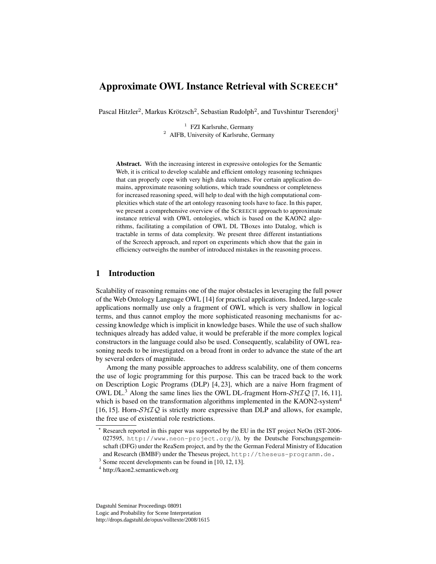# Approximate OWL Instance Retrieval with SCREECH?

Pascal Hitzler<sup>2</sup>, Markus Krötzsch<sup>2</sup>, Sebastian Rudolph<sup>2</sup>, and Tuvshintur Tserendorj<sup>1</sup>

<sup>1</sup> FZI Karlsruhe, Germany <sup>2</sup> AIFB, University of Karlsruhe, Germany

Abstract. With the increasing interest in expressive ontologies for the Semantic Web, it is critical to develop scalable and efficient ontology reasoning techniques that can properly cope with very high data volumes. For certain application domains, approximate reasoning solutions, which trade soundness or completeness for increased reasoning speed, will help to deal with the high computational complexities which state of the art ontology reasoning tools have to face. In this paper, we present a comprehensive overview of the SCREECH approach to approximate instance retrieval with OWL ontologies, which is based on the KAON2 algorithms, facilitating a compilation of OWL DL TBoxes into Datalog, which is tractable in terms of data complexity. We present three different instantiations of the Screech approach, and report on experiments which show that the gain in efficiency outweighs the number of introduced mistakes in the reasoning process.

# 1 Introduction

Scalability of reasoning remains one of the major obstacles in leveraging the full power of the Web Ontology Language OWL [14] for practical applications. Indeed, large-scale applications normally use only a fragment of OWL which is very shallow in logical terms, and thus cannot employ the more sophisticated reasoning mechanisms for accessing knowledge which is implicit in knowledge bases. While the use of such shallow techniques already has added value, it would be preferable if the more complex logical constructors in the language could also be used. Consequently, scalability of OWL reasoning needs to be investigated on a broad front in order to advance the state of the art by several orders of magnitude.

Among the many possible approaches to address scalability, one of them concerns the use of logic programming for this purpose. This can be traced back to the work on Description Logic Programs (DLP) [4, 23], which are a naive Horn fragment of OWL DL.<sup>3</sup> Along the same lines lies the OWL DL-fragment Horn- $\mathcal{SHLQ}$  [7, 16, 11], which is based on the transformation algorithms implemented in the KAON2-system<sup>4</sup> [16, 15]. Horn- $\mathcal{SHTQ}$  is strictly more expressive than DLP and allows, for example, the free use of existential role restrictions.

Dagstuhl Seminar Proceedings 08091 Logic and Probability for Scene Interpretation http://drops.dagstuhl.de/opus/volltexte/2008/1615

<sup>?</sup> Research reported in this paper was supported by the EU in the IST project NeOn (IST-2006- 027595, http://www.neon-project.org/)), by the Deutsche Forschungsgemeinschaft (DFG) under the ReaSem project, and by the the German Federal Ministry of Education and Research (BMBF) under the Theseus project, http://theseus-programm.de.

<sup>&</sup>lt;sup>3</sup> Some recent developments can be found in [10, 12, 13].

<sup>4</sup> http://kaon2.semanticweb.org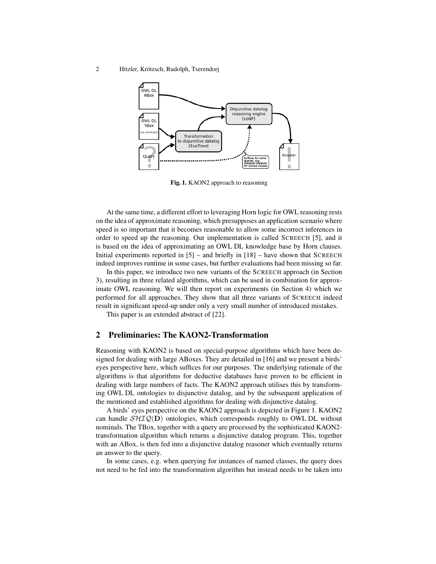2 Hitzler, Krötzsch, Rudolph, Tserendorj



Fig. 1. KAON2 approach to reasoning

At the same time, a different effort to leveraging Horn logic for OWL reasoning rests on the idea of approximate reasoning, which presupposes an application scenario where speed is so important that it becomes reasonable to allow some incorrect inferences in order to speed up the reasoning. Our implementation is called SCREECH [5], and it is based on the idea of approximating an OWL DL knowledge base by Horn clauses. Initial experiments reported in [5] – and briefly in [18] – have shown that SCREECH indeed improves runtime in some cases, but further evaluations had been missing so far.

In this paper, we introduce two new variants of the SCREECH approach (in Section 3), resulting in three related algorithms, which can be used in combination for approximate OWL reasoning. We will then report on experiments (in Section 4) which we performed for all approaches. They show that all three variants of SCREECH indeed result in significant speed-up under only a very small number of introduced mistakes.

This paper is an extended abstract of [22].

### 2 Preliminaries: The KAON2-Transformation

Reasoning with KAON2 is based on special-purpose algorithms which have been designed for dealing with large ABoxes. They are detailed in [16] and we present a birds' eyes perspective here, which suffices for our purposes. The underlying rationale of the algorithms is that algorithms for deductive databases have proven to be efficient in dealing with large numbers of facts. The KAON2 approach utilises this by transforming OWL DL ontologies to disjunctive datalog, and by the subsequent application of the mentioned and established algorithms for dealing with disjunctive datalog.

A birds' eyes perspective on the KAON2 approach is depicted in Figure 1. KAON2 can handle  $\mathcal{SHIQ}(\mathbf{D})$  ontologies, which corresponds roughly to OWL DL without nominals. The TBox, together with a query are processed by the sophisticated KAON2 transformation algorithm which returns a disjunctive datalog program. This, together with an ABox, is then fed into a disjunctive datalog reasoner which eventually returns an answer to the query.

In some cases, e.g. when querying for instances of named classes, the query does not need to be fed into the transformation algorithm but instead needs to be taken into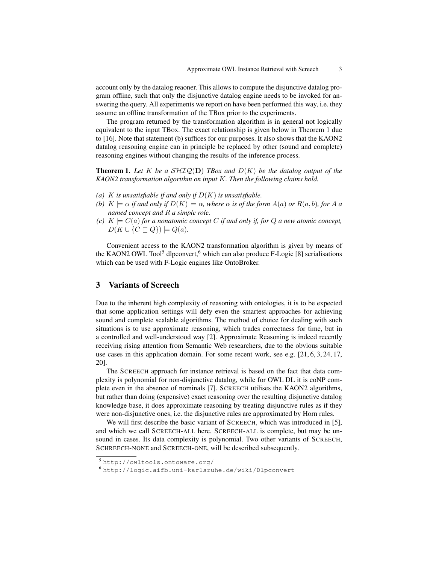account only by the datalog reaoner. This allows to compute the disjunctive datalog program offline, such that only the disjunctive datalog engine needs to be invoked for answering the query. All experiments we report on have been performed this way, i.e. they assume an offline transformation of the TBox prior to the experiments.

The program returned by the transformation algorithm is in general not logically equivalent to the input TBox. The exact relationship is given below in Theorem 1 due to [16]. Note that statement (b) suffices for our purposes. It also shows that the KAON2 datalog reasoning engine can in principle be replaced by other (sound and complete) reasoning engines without changing the results of the inference process.

**Theorem 1.** Let K be a  $\mathcal{SHTQ}(\mathbf{D})$  *TBox and*  $D(K)$  be the datalog output of the *KAON2 transformation algorithm on input* K*. Then the following claims hold.*

- (a)  $K$  *is unsatisfiable if and only if*  $D(K)$  *is unsatisfiable.*
- *(b)*  $K \models \alpha$  *if and only if*  $D(K) \models \alpha$ *, where*  $\alpha$  *is of the form*  $A(a)$  *or*  $R(a, b)$ *, for* A *a named concept and* R *a simple role.*
- *(c)*  $K \models C(a)$  *for a nonatomic concept C if and only if, for Q a new atomic concept,*  $D(K \cup \{C \sqsubseteq Q\}) \models Q(a).$

Convenient access to the KAON2 transformation algorithm is given by means of the KAON2 OWL Tool<sup>5</sup> dlpconvert,<sup>6</sup> which can also produce F-Logic [8] serialisations which can be used with F-Logic engines like OntoBroker.

# 3 Variants of Screech

Due to the inherent high complexity of reasoning with ontologies, it is to be expected that some application settings will defy even the smartest approaches for achieving sound and complete scalable algorithms. The method of choice for dealing with such situations is to use approximate reasoning, which trades correctness for time, but in a controlled and well-understood way [2]. Approximate Reasoning is indeed recently receiving rising attention from Semantic Web researchers, due to the obvious suitable use cases in this application domain. For some recent work, see e.g. [21, 6, 3, 24, 17, 20].

The SCREECH approach for instance retrieval is based on the fact that data complexity is polynomial for non-disjunctive datalog, while for OWL DL it is coNP complete even in the absence of nominals [7]. SCREECH utilises the KAON2 algorithms, but rather than doing (expensive) exact reasoning over the resulting disjunctive datalog knowledge base, it does approximate reasoning by treating disjunctive rules as if they were non-disjunctive ones, i.e. the disjunctive rules are approximated by Horn rules.

We will first describe the basic variant of SCREECH, which was introduced in [5], and which we call SCREECH-ALL here. SCREECH-ALL is complete, but may be unsound in cases. Its data complexity is polynomial. Two other variants of SCREECH, SCHREECH-NONE and SCREECH-ONE, will be described subsequently.

<sup>5</sup> http://owltools.ontoware.org/

<sup>6</sup> http://logic.aifb.uni-karlsruhe.de/wiki/Dlpconvert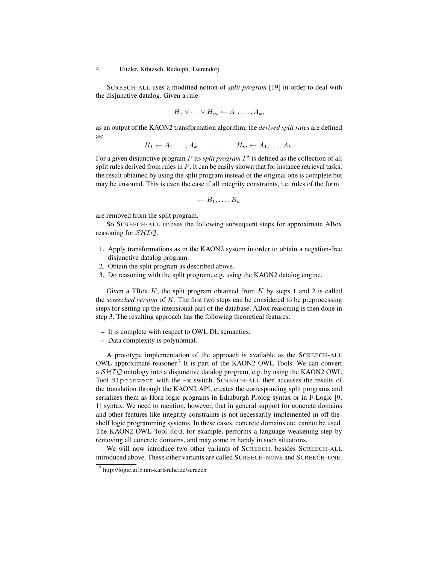SCREECH-ALL uses a modified notion of *split program* [19] in order to deal with the disjunctive datalog. Given a rule

$$
H_1 \vee \cdots \vee H_m \leftarrow A_1, \ldots, A_k,
$$

as an output of the KAON2 transformation algorithm, the *derived split rules* are defined as:

 $H_1 \leftarrow A_1, \ldots, A_k \qquad \ldots \qquad H_m \leftarrow A_1, \ldots, A_k.$ 

For a given disjunctive program P its *split program P'* is defined as the collection of all split rules derived from rules in  $P$ . It can be easily shown that for instance retrieval tasks, the result obtained by using the split program instead of the original one is complete but may be unsound. This is even the case if all integrity constraints, i.e. rules of the form

$$
\leftarrow B_1, \ldots, B_n
$$

are removed from the split program.

So SCREECH-ALL utilises the following subsequent steps for approximate ABox reasoning for *SHIQ*.

- 1. Apply transformations as in the KAON2 system in order to obtain a negation-free disjunctive datalog program.
- 2. Obtain the split program as described above.
- 3. Do reasoning with the split program, e.g. using the KAON2 datalog engine.

Given a TBox  $K$ , the split program obtained from  $K$  by steps 1 and 2 is called the *screeched version* of K. The first two steps can be considered to be preprocessing steps for setting up the intensional part of the database. ABox reasoning is then done in step 3. The resulting approach has the following theoretical features:

- It is complete with respect to OWL DL semantics.
- Data complexity is polynomial.

A prototype implementation of the approach is available as the SCREECH-ALL OWL approximate reasoner.<sup>7</sup> It is part of the KAON2 OWL Tools. We can convert a SHIQ ontology into a disjunctive datalog program, e.g. by using the KAON2 OWL Tool dlpconvert with the -x switch. SCREECH-ALL then accesses the results of the translation through the KAON2 API, creates the corresponding split programs and serializes them as Horn logic programs in Edinburgh Prolog syntax or in F-Logic [9, 1] syntax. We need to mention, however, that in general support for concrete domains and other features like integrity constraints is not necessarily implemented in off-theshelf logic programming systems. In these cases, concrete domains etc. cannot be used. The KAON2 OWL Tool ded, for example, performs a language weakening step by removing all concrete domains, and may come in handy in such situations.

We will now introduce two other variants of SCREECH, besides SCREECH-ALL introduced above. These other variants are called SCREECH-NONE and SCREECH-ONE.

<sup>7</sup> http://logic.aifb.uni-karlsruhe.de/screech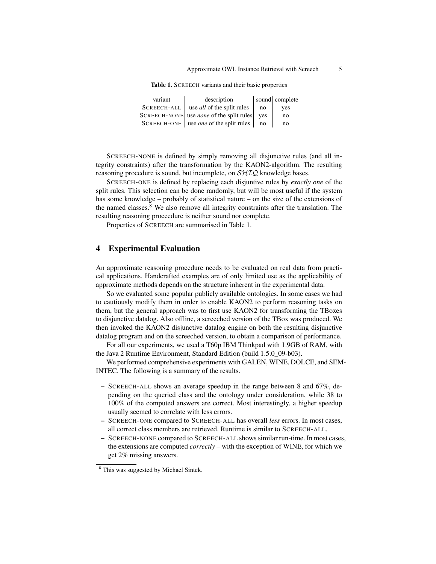| variant            | description                                     |     | sound complete |
|--------------------|-------------------------------------------------|-----|----------------|
| <b>SCREECH-ALL</b> | use <i>all</i> of the split rules               | no  | yes            |
|                    | SCREECH-NONE use <i>none</i> of the split rules | ves | no             |
| <b>SCREECH-ONE</b> | use <i>one</i> of the split rules               | no  | no             |

Table 1. SCREECH variants and their basic properties

SCREECH-NONE is defined by simply removing all disjunctive rules (and all integrity constraints) after the transformation by the KAON2-algorithm. The resulting reasoning procedure is sound, but incomplete, on  $\mathcal{SHIQ}$  knowledge bases.

SCREECH-ONE is defined by replacing each disjuntive rules by *exactly one* of the split rules. This selection can be done randomly, but will be most useful if the system has some knowledge – probably of statistical nature – on the size of the extensions of the named classes.<sup>8</sup> We also remove all integrity constraints after the translation. The resulting reasoning proceedure is neither sound nor complete.

Properties of SCREECH are summarised in Table 1.

# 4 Experimental Evaluation

An approximate reasoning procedure needs to be evaluated on real data from practical applications. Handcrafted examples are of only limited use as the applicability of approximate methods depends on the structure inherent in the experimental data.

So we evaluated some popular publicly available ontologies. In some cases we had to cautiously modify them in order to enable KAON2 to perform reasoning tasks on them, but the general approach was to first use KAON2 for transforming the TBoxes to disjunctive datalog. Also offline, a screeched version of the TBox was produced. We then invoked the KAON2 disjunctive datalog engine on both the resulting disjunctive datalog program and on the screeched version, to obtain a comparison of performance.

For all our experiments, we used a T60p IBM Thinkpad with 1.9GB of RAM, with the Java 2 Runtime Environment, Standard Edition (build 1.5.0\_09-b03).

We performed comprehensive experiments with GALEN, WINE, DOLCE, and SEM-INTEC. The following is a summary of the results.

- SCREECH-ALL shows an average speedup in the range between 8 and 67%, depending on the queried class and the ontology under consideration, while 38 to 100% of the computed answers are correct. Most interestingly, a higher speedup usually seemed to correlate with less errors.
- SCREECH-ONE compared to SCREECH-ALL has overall *less* errors. In most cases, all correct class members are retrieved. Runtime is similar to SCREECH-ALL.
- SCREECH-NONE compared to SCREECH-ALL shows similar run-time. In most cases, the extensions are computed *correctly* – with the exception of WINE, for which we get 2% missing answers.

<sup>8</sup> This was suggested by Michael Sintek.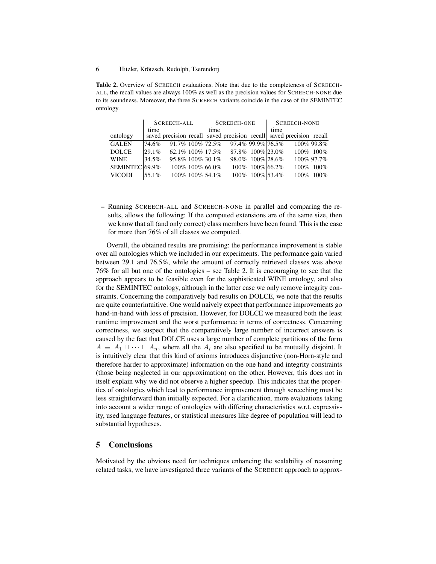Table 2. Overview of SCREECH evaluations. Note that due to the completeness of SCREECH-ALL, the recall values are always 100% as well as the precision values for SCREECH-NONE due to its soundness. Moreover, the three SCREECH variants coincide in the case of the SEMINTEC ontology.

|                           | <b>SCREECH-ALL</b> |                       |  | <b>SCREECH-ONE</b> |  |                              | <b>SCREECH-NONE</b> |                                                                      |             |
|---------------------------|--------------------|-----------------------|--|--------------------|--|------------------------------|---------------------|----------------------------------------------------------------------|-------------|
| ontology                  | time               |                       |  | time               |  |                              | time                | saved precision recall saved precision recall saved precision recall |             |
| <b>GALEN</b>              | 74.6%              | 91.7% 100% 72.5%      |  |                    |  | 97.4% 99.9% 76.5%            |                     |                                                                      | 100% 99.8%  |
| <b>DOLCE</b>              | $ 29.1\%$          | $62.1\%$ 100\% 17.5\% |  |                    |  | 87.8% 100% 23.0%             |                     |                                                                      | 100\% 100\% |
| <b>WINE</b>               | 34.5%              | 95.8% 100% 30.1%      |  |                    |  | 98.0% 100% 28.6%             |                     |                                                                      | 100% 97.7%  |
| SEMINTEC <sub>69.9%</sub> |                    |                       |  | 100\% 100\% 66.0\% |  | 100\% 100\% \ 100\% \ 66.2\% |                     |                                                                      | 100\% 100\% |
| <b>VICODI</b>             | 55.1%              |                       |  | 100% 100% 54.1%    |  | 100\% 100\% 53.4\%           |                     | $100\%$                                                              | $100\%$     |

– Running SCREECH-ALL and SCREECH-NONE in parallel and comparing the results, allows the following: If the computed extensions are of the same size, then we know that all (and only correct) class members have been found. This is the case for more than 76% of all classes we computed.

Overall, the obtained results are promising: the performance improvement is stable over all ontologies which we included in our experiments. The performance gain varied between 29.1 and 76.5%, while the amount of correctly retrieved classes was above 76% for all but one of the ontologies – see Table 2. It is encouraging to see that the approach appears to be feasible even for the sophisticated WINE ontology, and also for the SEMINTEC ontology, although in the latter case we only remove integrity constraints. Concerning the comparatively bad results on DOLCE, we note that the results are quite counterintuitive. One would naively expect that performance improvements go hand-in-hand with loss of precision. However, for DOLCE we measured both the least runtime improvement and the worst performance in terms of correctness. Concerning correctness, we suspect that the comparatively large number of incorrect answers is caused by the fact that DOLCE uses a large number of complete partitions of the form  $A \equiv A_1 \sqcup \cdots \sqcup A_n$ , where all the  $A_i$  are also specified to be mutually disjoint. It is intuitively clear that this kind of axioms introduces disjunctive (non-Horn-style and therefore harder to approximate) information on the one hand and integrity constraints (those being neglected in our approximation) on the other. However, this does not in itself explain why we did not observe a higher speedup. This indicates that the properties of ontologies which lead to performance improvement through screeching must be less straightforward than initially expected. For a clarification, more evaluations taking into account a wider range of ontologies with differing characteristics w.r.t. expressivity, used language features, or statistical measures like degree of population will lead to substantial hypotheses.

# 5 Conclusions

Motivated by the obvious need for techniques enhancing the scalability of reasoning related tasks, we have investigated three variants of the SCREECH approach to approx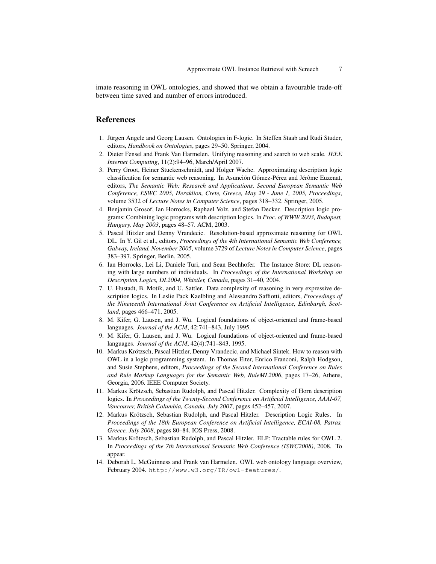imate reasoning in OWL ontologies, and showed that we obtain a favourable trade-off between time saved and number of errors introduced.

## References

- 1. Jürgen Angele and Georg Lausen. Ontologies in F-logic. In Steffen Staab and Rudi Studer, editors, *Handbook on Ontologies*, pages 29–50. Springer, 2004.
- 2. Dieter Fensel and Frank Van Harmelen. Unifying reasoning and search to web scale. *IEEE Internet Computing*, 11(2):94–96, March/April 2007.
- 3. Perry Groot, Heiner Stuckenschmidt, and Holger Wache. Approximating description logic classification for semantic web reasoning. In Asunción Gómez-Pérez and Jérôme Euzenat, editors, *The Semantic Web: Research and Applications, Second European Semantic Web Conference, ESWC 2005, Heraklion, Crete, Greece, May 29 - June 1, 2005, Proceedings*, volume 3532 of *Lecture Notes in Computer Science*, pages 318–332. Springer, 2005.
- 4. Benjamin Grosof, Ian Horrocks, Raphael Volz, and Stefan Decker. Description logic programs: Combining logic programs with description logics. In *Proc. of WWW 2003, Budapest, Hungary, May 2003*, pages 48–57. ACM, 2003.
- 5. Pascal Hitzler and Denny Vrandecic. Resolution-based approximate reasoning for OWL DL. In Y. Gil et al., editors, *Proceedings of the 4th International Semantic Web Conference, Galway, Ireland, November 2005*, volume 3729 of *Lecture Notes in Computer Science*, pages 383–397. Springer, Berlin, 2005.
- 6. Ian Horrocks, Lei Li, Daniele Turi, and Sean Bechhofer. The Instance Store: DL reasoning with large numbers of individuals. In *Proceedings of the International Workshop on Description Logics, DL2004, Whistler, Canada*, pages 31–40, 2004.
- 7. U. Hustadt, B. Motik, and U. Sattler. Data complexity of reasoning in very expressive description logics. In Leslie Pack Kaelbling and Alessandro Saffiotti, editors, *Proceedings of the Nineteenth International Joint Conference on Artificial Intelligence, Edinburgh, Scotland*, pages 466–471, 2005.
- 8. M. Kifer, G. Lausen, and J. Wu. Logical foundations of object-oriented and frame-based languages. *Journal of the ACM*, 42:741–843, July 1995.
- 9. M. Kifer, G. Lausen, and J. Wu. Logical foundations of object-oriented and frame-based languages. *Journal of the ACM*, 42(4):741–843, 1995.
- 10. Markus Krötzsch, Pascal Hitzler, Denny Vrandecic, and Michael Sintek. How to reason with OWL in a logic programming system. In Thomas Eiter, Enrico Franconi, Ralph Hodgson, and Susie Stephens, editors, *Proceedings of the Second International Conference on Rules and Rule Markup Languages for the Semantic Web, RuleML2006*, pages 17–26, Athens, Georgia, 2006. IEEE Computer Society.
- 11. Markus Krötzsch, Sebastian Rudolph, and Pascal Hitzler. Complexity of Horn description logics. In *Proceedings of the Twenty-Second Conference on Artificial Intelligence, AAAI-07, Vancouver, British Columbia, Canada, July 2007*, pages 452–457, 2007.
- 12. Markus Krötzsch, Sebastian Rudolph, and Pascal Hitzler. Description Logic Rules. In *Proceedings of the 18th European Conference on Artificial Intelligence, ECAI-08, Patras, Greece, July 2008*, pages 80–84. IOS Press, 2008.
- 13. Markus Krötzsch, Sebastian Rudolph, and Pascal Hitzler. ELP: Tractable rules for OWL 2. In *Proceedings of the 7th International Semantic Web Conference (ISWC2008)*, 2008. To appear.
- 14. Deborah L. McGuinness and Frank van Harmelen. OWL web ontology language overview, February 2004. http://www.w3.org/TR/owl-features/.